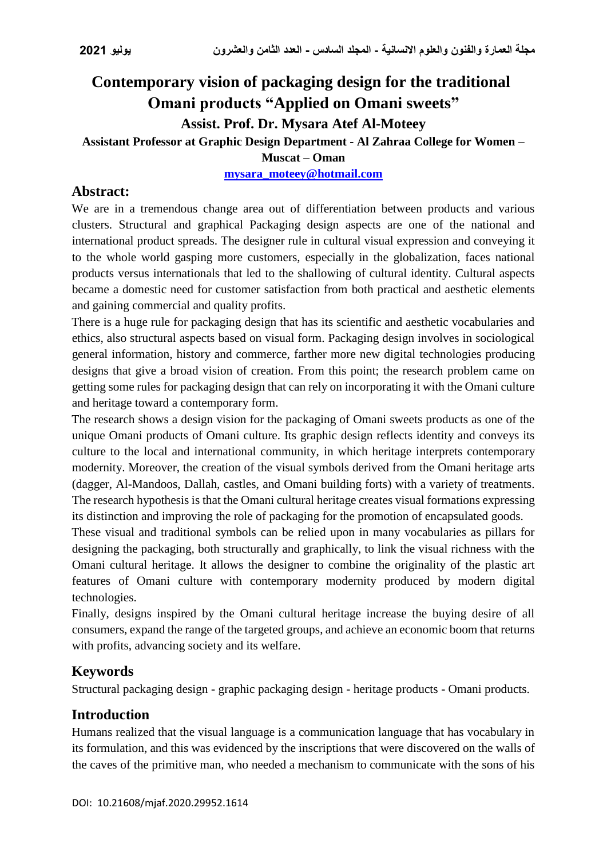# **Contemporary vision of packaging design for the traditional Omani products "Applied on Omani sweets" Assist. Prof. Dr. Mysara Atef Al-Moteey Assistant Professor at Graphic Design Department - Al Zahraa College for Women –**

**Muscat – Oman**

#### **[mysara\\_moteey@hotmail.com](mailto:mysara_moteey@hotmail.com)**

# **Abstract:**

We are in a tremendous change area out of differentiation between products and various clusters. Structural and graphical Packaging design aspects are one of the national and international product spreads. The designer rule in cultural visual expression and conveying it to the whole world gasping more customers, especially in the globalization, faces national products versus internationals that led to the shallowing of cultural identity. Cultural aspects became a domestic need for customer satisfaction from both practical and aesthetic elements and gaining commercial and quality profits.

There is a huge rule for packaging design that has its scientific and aesthetic vocabularies and ethics, also structural aspects based on visual form. Packaging design involves in sociological general information, history and commerce, farther more new digital technologies producing designs that give a broad vision of creation. From this point; the research problem came on getting some rules for packaging design that can rely on incorporating it with the Omani culture and heritage toward a contemporary form.

The research shows a design vision for the packaging of Omani sweets products as one of the unique Omani products of Omani culture. Its graphic design reflects identity and conveys its culture to the local and international community, in which heritage interprets contemporary modernity. Moreover, the creation of the visual symbols derived from the Omani heritage arts (dagger, Al-Mandoos, Dallah, castles, and Omani building forts) with a variety of treatments. The research hypothesis is that the Omani cultural heritage creates visual formations expressing its distinction and improving the role of packaging for the promotion of encapsulated goods.

These visual and traditional symbols can be relied upon in many vocabularies as pillars for designing the packaging, both structurally and graphically, to link the visual richness with the Omani cultural heritage. It allows the designer to combine the originality of the plastic art features of Omani culture with contemporary modernity produced by modern digital technologies.

Finally, designs inspired by the Omani cultural heritage increase the buying desire of all consumers, expand the range of the targeted groups, and achieve an economic boom that returns with profits, advancing society and its welfare.

# **Keywords**

Structural packaging design - graphic packaging design - heritage products - Omani products.

# **Introduction**

Humans realized that the visual language is a communication language that has vocabulary in its formulation, and this was evidenced by the inscriptions that were discovered on the walls of the caves of the primitive man, who needed a mechanism to communicate with the sons of his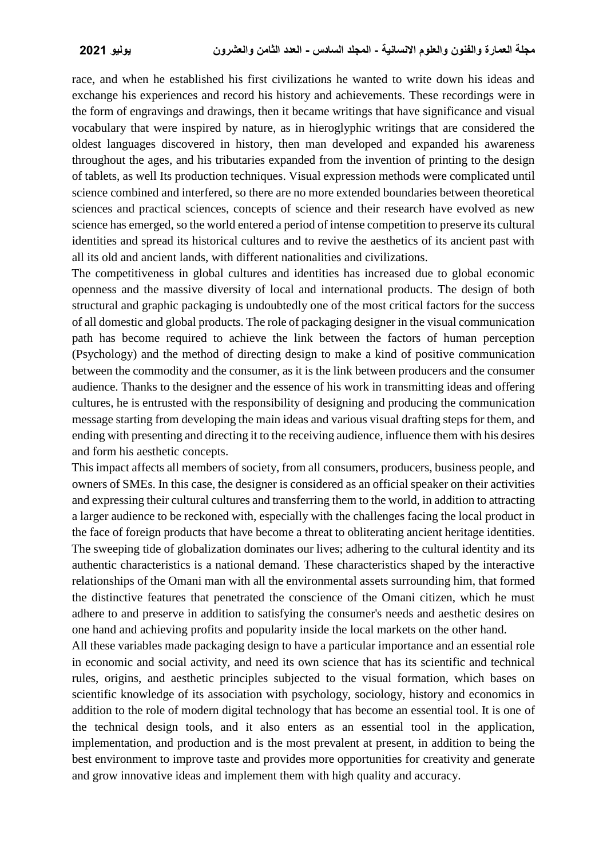race, and when he established his first civilizations he wanted to write down his ideas and exchange his experiences and record his history and achievements. These recordings were in the form of engravings and drawings, then it became writings that have significance and visual vocabulary that were inspired by nature, as in hieroglyphic writings that are considered the oldest languages discovered in history, then man developed and expanded his awareness throughout the ages, and his tributaries expanded from the invention of printing to the design of tablets, as well Its production techniques. Visual expression methods were complicated until science combined and interfered, so there are no more extended boundaries between theoretical sciences and practical sciences, concepts of science and their research have evolved as new science has emerged, so the world entered a period of intense competition to preserve its cultural identities and spread its historical cultures and to revive the aesthetics of its ancient past with all its old and ancient lands, with different nationalities and civilizations.

The competitiveness in global cultures and identities has increased due to global economic openness and the massive diversity of local and international products. The design of both structural and graphic packaging is undoubtedly one of the most critical factors for the success of all domestic and global products. The role of packaging designer in the visual communication path has become required to achieve the link between the factors of human perception (Psychology) and the method of directing design to make a kind of positive communication between the commodity and the consumer, as it is the link between producers and the consumer audience. Thanks to the designer and the essence of his work in transmitting ideas and offering cultures, he is entrusted with the responsibility of designing and producing the communication message starting from developing the main ideas and various visual drafting steps for them, and ending with presenting and directing it to the receiving audience, influence them with his desires and form his aesthetic concepts.

This impact affects all members of society, from all consumers, producers, business people, and owners of SMEs. In this case, the designer is considered as an official speaker on their activities and expressing their cultural cultures and transferring them to the world, in addition to attracting a larger audience to be reckoned with, especially with the challenges facing the local product in the face of foreign products that have become a threat to obliterating ancient heritage identities. The sweeping tide of globalization dominates our lives; adhering to the cultural identity and its authentic characteristics is a national demand. These characteristics shaped by the interactive relationships of the Omani man with all the environmental assets surrounding him, that formed the distinctive features that penetrated the conscience of the Omani citizen, which he must adhere to and preserve in addition to satisfying the consumer's needs and aesthetic desires on one hand and achieving profits and popularity inside the local markets on the other hand.

All these variables made packaging design to have a particular importance and an essential role in economic and social activity, and need its own science that has its scientific and technical rules, origins, and aesthetic principles subjected to the visual formation, which bases on scientific knowledge of its association with psychology, sociology, history and economics in addition to the role of modern digital technology that has become an essential tool. It is one of the technical design tools, and it also enters as an essential tool in the application, implementation, and production and is the most prevalent at present, in addition to being the best environment to improve taste and provides more opportunities for creativity and generate and grow innovative ideas and implement them with high quality and accuracy.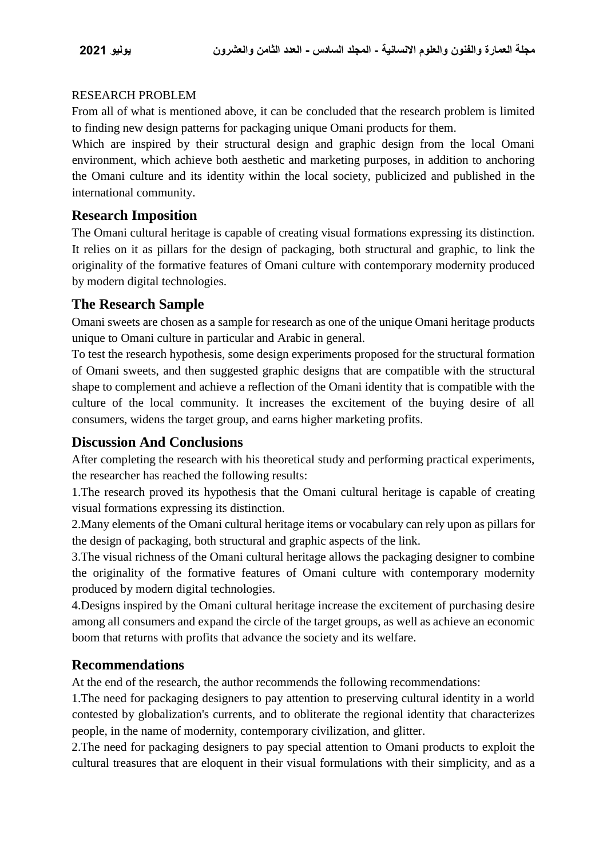#### RESEARCH PROBLEM

From all of what is mentioned above, it can be concluded that the research problem is limited to finding new design patterns for packaging unique Omani products for them.

Which are inspired by their structural design and graphic design from the local Omani environment, which achieve both aesthetic and marketing purposes, in addition to anchoring the Omani culture and its identity within the local society, publicized and published in the international community.

## **Research Imposition**

The Omani cultural heritage is capable of creating visual formations expressing its distinction. It relies on it as pillars for the design of packaging, both structural and graphic, to link the originality of the formative features of Omani culture with contemporary modernity produced by modern digital technologies.

## **The Research Sample**

Omani sweets are chosen as a sample for research as one of the unique Omani heritage products unique to Omani culture in particular and Arabic in general.

To test the research hypothesis, some design experiments proposed for the structural formation of Omani sweets, and then suggested graphic designs that are compatible with the structural shape to complement and achieve a reflection of the Omani identity that is compatible with the culture of the local community. It increases the excitement of the buying desire of all consumers, widens the target group, and earns higher marketing profits.

## **Discussion And Conclusions**

After completing the research with his theoretical study and performing practical experiments, the researcher has reached the following results:

1.The research proved its hypothesis that the Omani cultural heritage is capable of creating visual formations expressing its distinction.

2.Many elements of the Omani cultural heritage items or vocabulary can rely upon as pillars for the design of packaging, both structural and graphic aspects of the link.

3.The visual richness of the Omani cultural heritage allows the packaging designer to combine the originality of the formative features of Omani culture with contemporary modernity produced by modern digital technologies.

4.Designs inspired by the Omani cultural heritage increase the excitement of purchasing desire among all consumers and expand the circle of the target groups, as well as achieve an economic boom that returns with profits that advance the society and its welfare.

## **Recommendations**

At the end of the research, the author recommends the following recommendations:

1.The need for packaging designers to pay attention to preserving cultural identity in a world contested by globalization's currents, and to obliterate the regional identity that characterizes people, in the name of modernity, contemporary civilization, and glitter.

2.The need for packaging designers to pay special attention to Omani products to exploit the cultural treasures that are eloquent in their visual formulations with their simplicity, and as a